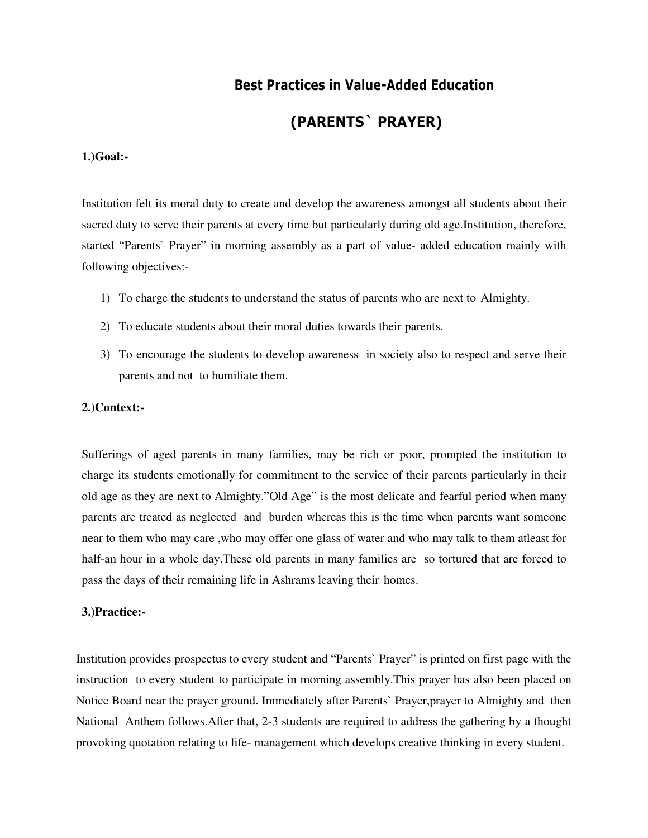## **Best Practices in Value-Added Education**

# **(PARENTS` PRAYER)**

## **1.)Goal:-**

Institution felt its moral duty to create and develop the awareness amongst all students about their sacred duty to serve their parents at every time but particularly during old age.Institution, therefore, started "Parents` Prayer" in morning assembly as a part of value- added education mainly with following objectives:-

- 1) To charge the students to understand the status of parents who are next to Almighty.
- 2) To educate students about their moral duties towards their parents.
- 3) To encourage the students to develop awareness in society also to respect and serve their parents and not to humiliate them.

## **2.)Context:-**

Sufferings of aged parents in many families, may be rich or poor, prompted the institution to charge its students emotionally for commitment to the service of their parents particularly in their old age as they are next to Almighty."Old Age" is the most delicate and fearful period when many parents are treated as neglected and burden whereas this is the time when parents want someone near to them who may care ,who may offer one glass of water and who may talk to them atleast for half-an hour in a whole day.These old parents in many families are so tortured that are forced to pass the days of their remaining life in Ashrams leaving their homes.

### **3.)Practice:-**

Institution provides prospectus to every student and "Parents` Prayer" is printed on first page with the instruction to every student to participate in morning assembly.This prayer has also been placed on Notice Board near the prayer ground. Immediately after Parents` Prayer,prayer to Almighty and then National Anthem follows.After that, 2-3 students are required to address the gathering by a thought provoking quotation relating to life- management which develops creative thinking in every student.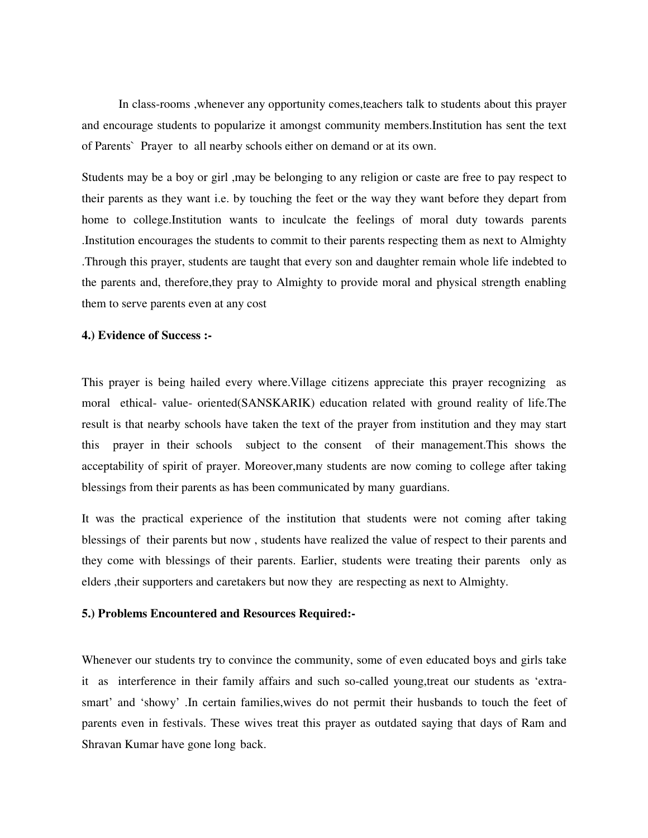In class-rooms ,whenever any opportunity comes,teachers talk to students about this prayer and encourage students to popularize it amongst community members.Institution has sent the text of Parents` Prayer to all nearby schools either on demand or at its own.

Students may be a boy or girl ,may be belonging to any religion or caste are free to pay respect to their parents as they want i.e. by touching the feet or the way they want before they depart from home to college.Institution wants to inculcate the feelings of moral duty towards parents .Institution encourages the students to commit to their parents respecting them as next to Almighty .Through this prayer, students are taught that every son and daughter remain whole life indebted to the parents and, therefore,they pray to Almighty to provide moral and physical strength enabling them to serve parents even at any cost

#### **4.) Evidence of Success :-**

This prayer is being hailed every where.Village citizens appreciate this prayer recognizing as moral ethical- value- oriented(SANSKARIK) education related with ground reality of life.The result is that nearby schools have taken the text of the prayer from institution and they may start this prayer in their schools subject to the consent of their management.This shows the acceptability of spirit of prayer. Moreover,many students are now coming to college after taking blessings from their parents as has been communicated by many guardians.

It was the practical experience of the institution that students were not coming after taking blessings of their parents but now , students have realized the value of respect to their parents and they come with blessings of their parents. Earlier, students were treating their parents only as elders ,their supporters and caretakers but now they are respecting as next to Almighty.

#### **5.) Problems Encountered and Resources Required:-**

Whenever our students try to convince the community, some of even educated boys and girls take it as interference in their family affairs and such so-called young,treat our students as 'extrasmart' and 'showy' .In certain families,wives do not permit their husbands to touch the feet of parents even in festivals. These wives treat this prayer as outdated saying that days of Ram and Shravan Kumar have gone long back.